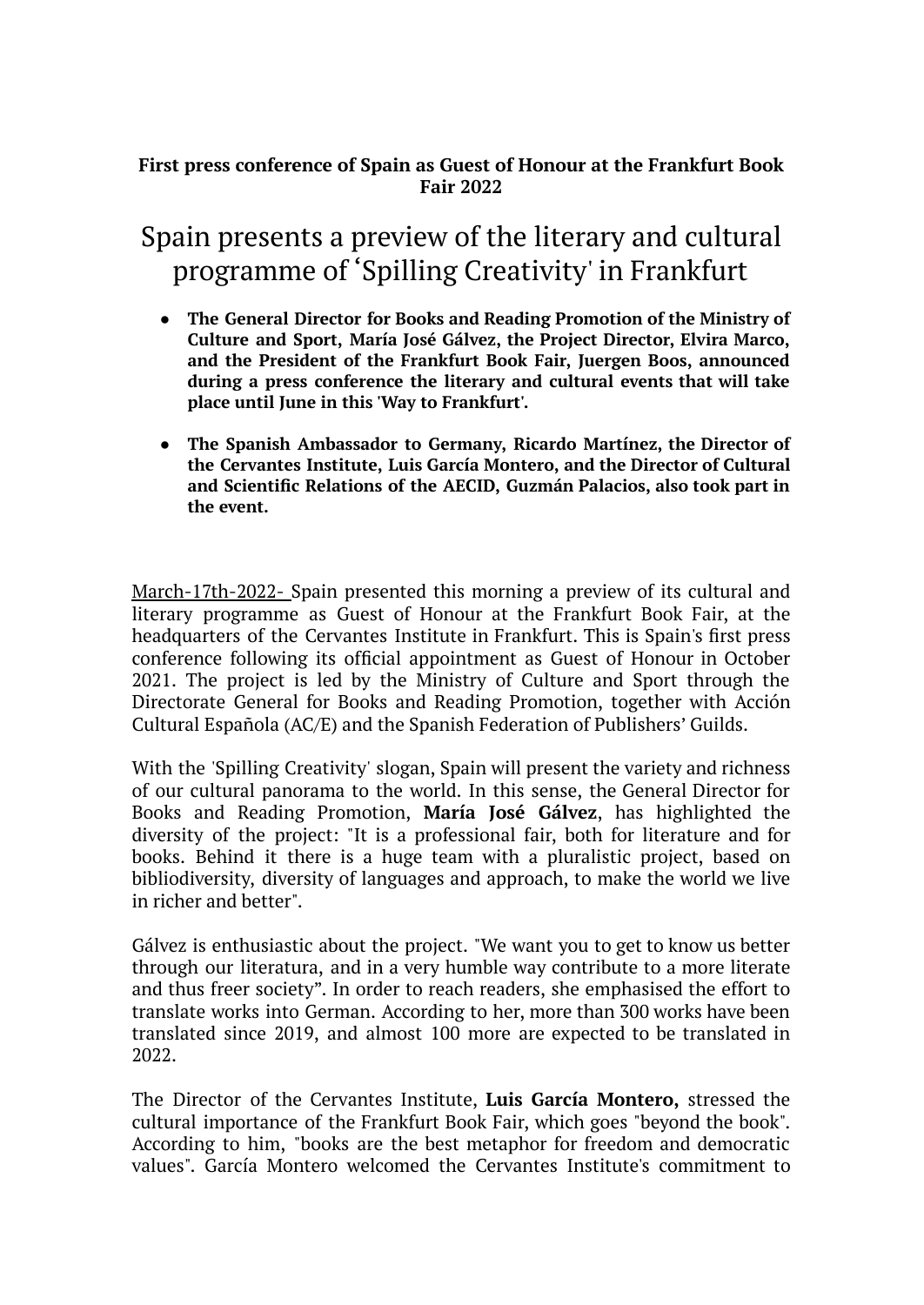## **First press conference of Spain as Guest of Honour at the Frankfurt Book Fair 2022**

# Spain presents a preview of the literary and cultural programme of 'Spilling Creativity' in Frankfurt

- **The General Director for Books and Reading Promotion of the Ministry of Culture and Sport, María José Gálvez, the Project Director, Elvira Marco, and the President of the Frankfurt Book Fair, Juergen Boos, announced during a press conference the literary and cultural events that will take place until June in this 'Way to Frankfurt'.**
- **The Spanish Ambassador to Germany, Ricardo Martínez, the Director of the Cervantes Institute, Luis García Montero, and the Director of Cultural and Scientific Relations of the AECID, Guzmán Palacios, also took part in the event.**

March-17th-2022- Spain presented this morning a preview of its cultural and literary programme as Guest of Honour at the Frankfurt Book Fair, at the headquarters of the Cervantes Institute in Frankfurt. This is Spain's first press conference following its official appointment as Guest of Honour in October 2021. The project is led by the Ministry of Culture and Sport through the Directorate General for Books and Reading Promotion, together with Acción Cultural Española (AC/E) and the Spanish Federation of Publishers' Guilds.

With the 'Spilling Creativity' slogan, Spain will present the variety and richness of our cultural panorama to the world. In this sense, the General Director for Books and Reading Promotion, **María José Gálvez**, has highlighted the diversity of the project: "It is a professional fair, both for literature and for books. Behind it there is a huge team with a pluralistic project, based on bibliodiversity, diversity of languages and approach, to make the world we live in richer and better".

Gálvez is enthusiastic about the project. "We want you to get to know us better through our literatura, and in a very humble way contribute to a more literate and thus freer society". In order to reach readers, she emphasised the effort to translate works into German. According to her, more than 300 works have been translated since 2019, and almost 100 more are expected to be translated in 2022.

The Director of the Cervantes Institute, **Luis García Montero,** stressed the cultural importance of the Frankfurt Book Fair, which goes "beyond the book". According to him, "books are the best metaphor for freedom and democratic values". García Montero welcomed the Cervantes Institute's commitment to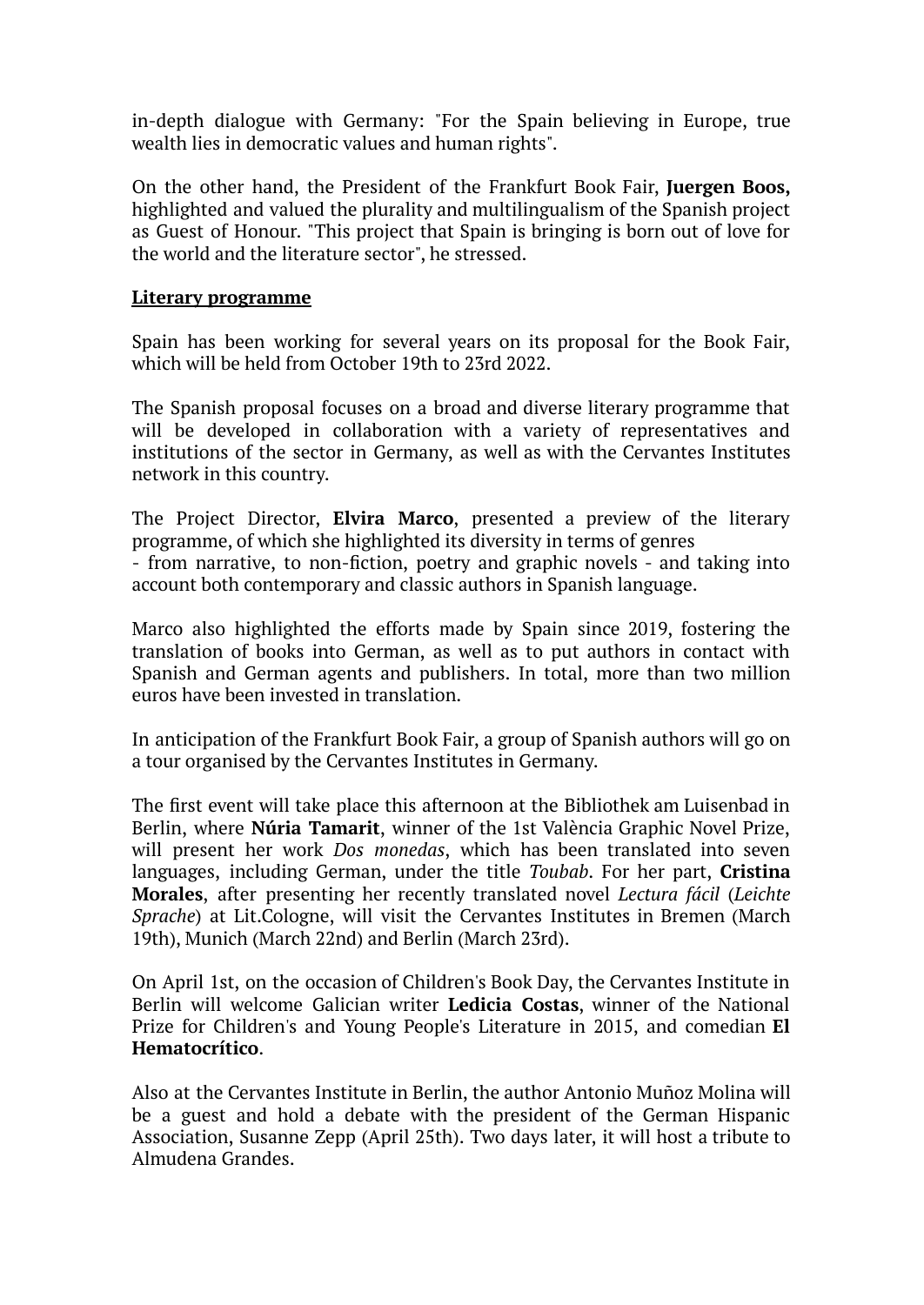in-depth dialogue with Germany: "For the Spain believing in Europe, true wealth lies in democratic values and human rights".

On the other hand, the President of the Frankfurt Book Fair, **Juergen Boos,** highlighted and valued the plurality and multilingualism of the Spanish project as Guest of Honour. "This project that Spain is bringing is born out of love for the world and the literature sector", he stressed.

### **Literary programme**

Spain has been working for several years on its proposal for the Book Fair, which will be held from October 19th to 23rd 2022.

The Spanish proposal focuses on a broad and diverse literary programme that will be developed in collaboration with a variety of representatives and institutions of the sector in Germany, as well as with the Cervantes Institutes network in this country.

The Project Director, **Elvira Marco**, presented a preview of the literary programme, of which she highlighted its diversity in terms of genres - from narrative, to non-fiction, poetry and graphic novels - and taking into account both contemporary and classic authors in Spanish language.

Marco also highlighted the efforts made by Spain since 2019, fostering the translation of books into German, as well as to put authors in contact with Spanish and German agents and publishers. In total, more than two million euros have been invested in translation.

In anticipation of the Frankfurt Book Fair, a group of Spanish authors will go on a tour organised by the Cervantes Institutes in Germany.

The first event will take place this afternoon at the Bibliothek am Luisenbad in Berlin, where **Núria Tamarit**, winner of the 1st València Graphic Novel Prize, will present her work *Dos monedas*, which has been translated into seven languages, including German, under the title *Toubab*. For her part, **Cristina Morales**, after presenting her recently translated novel *Lectura fácil* (*Leichte Sprache*) at Lit.Cologne, will visit the Cervantes Institutes in Bremen (March 19th), Munich (March 22nd) and Berlin (March 23rd).

On April 1st, on the occasion of Children's Book Day, the Cervantes Institute in Berlin will welcome Galician writer **Ledicia Costas**, winner of the National Prize for Children's and Young People's Literature in 2015, and comedian **El Hematocrítico**.

Also at the Cervantes Institute in Berlin, the author Antonio Muñoz Molina will be a guest and hold a debate with the president of the German Hispanic Association, Susanne Zepp (April 25th). Two days later, it will host a tribute to Almudena Grandes.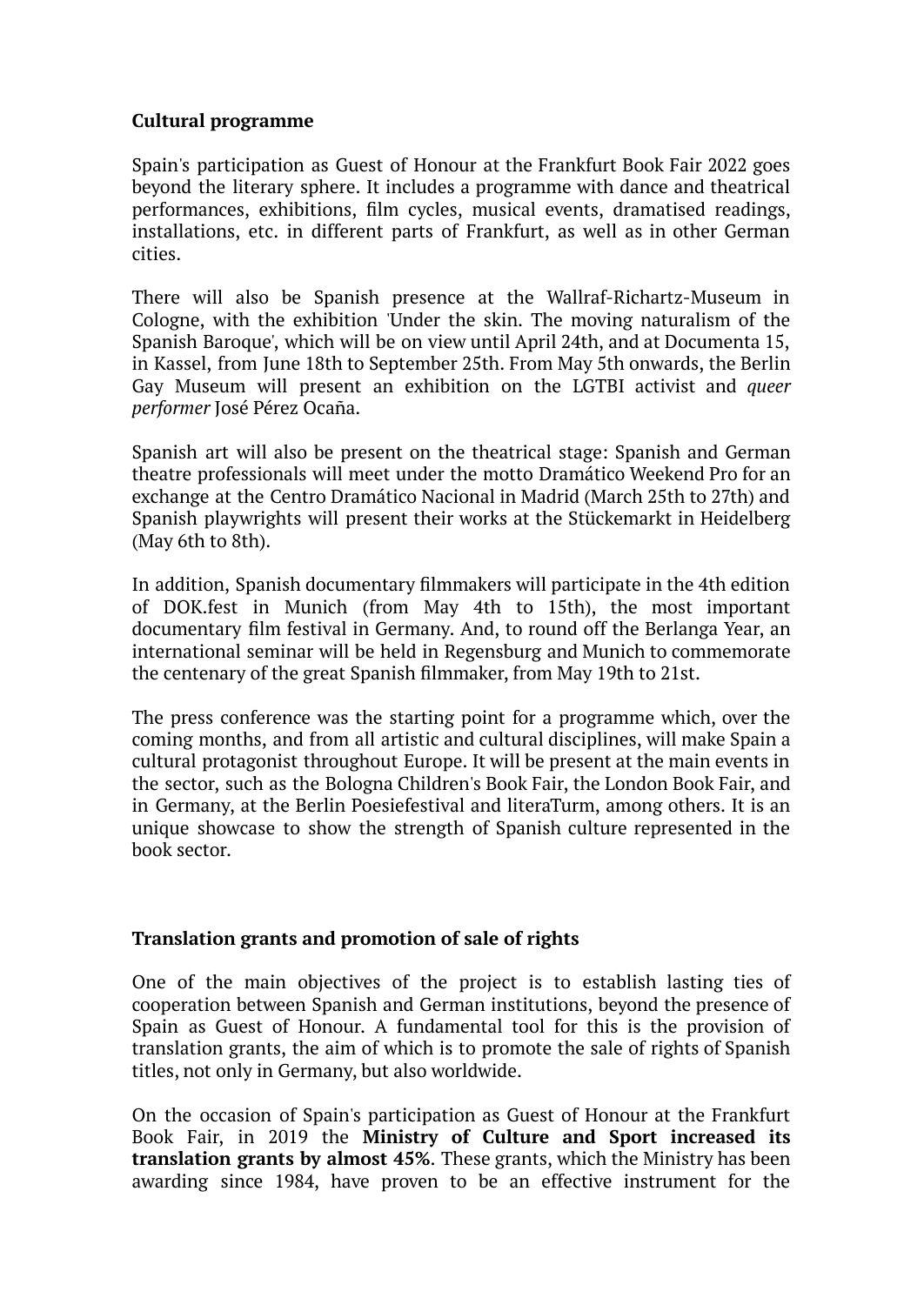## **Cultural programme**

Spain's participation as Guest of Honour at the Frankfurt Book Fair 2022 goes beyond the literary sphere. It includes a programme with dance and theatrical performances, exhibitions, film cycles, musical events, dramatised readings, installations, etc. in different parts of Frankfurt, as well as in other German cities.

There will also be Spanish presence at the Wallraf-Richartz-Museum in Cologne, with the exhibition 'Under the skin. The moving naturalism of the Spanish Baroque', which will be on view until April 24th, and at Documenta 15, in Kassel, from June 18th to September 25th. From May 5th onwards, the Berlin Gay Museum will present an exhibition on the LGTBI activist and *queer performer* José Pérez Ocaña.

Spanish art will also be present on the theatrical stage: Spanish and German theatre professionals will meet under the motto Dramático Weekend Pro for an exchange at the Centro Dramático Nacional in Madrid (March 25th to 27th) and Spanish playwrights will present their works at the Stückemarkt in Heidelberg (May 6th to 8th).

In addition, Spanish documentary filmmakers will participate in the 4th edition of DOK.fest in Munich (from May 4th to 15th), the most important documentary film festival in Germany. And, to round off the Berlanga Year, an international seminar will be held in Regensburg and Munich to commemorate the centenary of the great Spanish filmmaker, from May 19th to 21st.

The press conference was the starting point for a programme which, over the coming months, and from all artistic and cultural disciplines, will make Spain a cultural protagonist throughout Europe. It will be present at the main events in the sector, such as the Bologna Children's Book Fair, the London Book Fair, and in Germany, at the Berlin Poesiefestival and literaTurm, among others. It is an unique showcase to show the strength of Spanish culture represented in the book sector.

### **Translation grants and promotion of sale of rights**

One of the main objectives of the project is to establish lasting ties of cooperation between Spanish and German institutions, beyond the presence of Spain as Guest of Honour. A fundamental tool for this is the provision of translation grants, the aim of which is to promote the sale of rights of Spanish titles, not only in Germany, but also worldwide.

On the occasion of Spain's participation as Guest of Honour at the Frankfurt Book Fair, in 2019 the **Ministry of Culture and Sport increased its translation grants by almost 45%**. These grants, which the Ministry has been awarding since 1984, have proven to be an effective instrument for the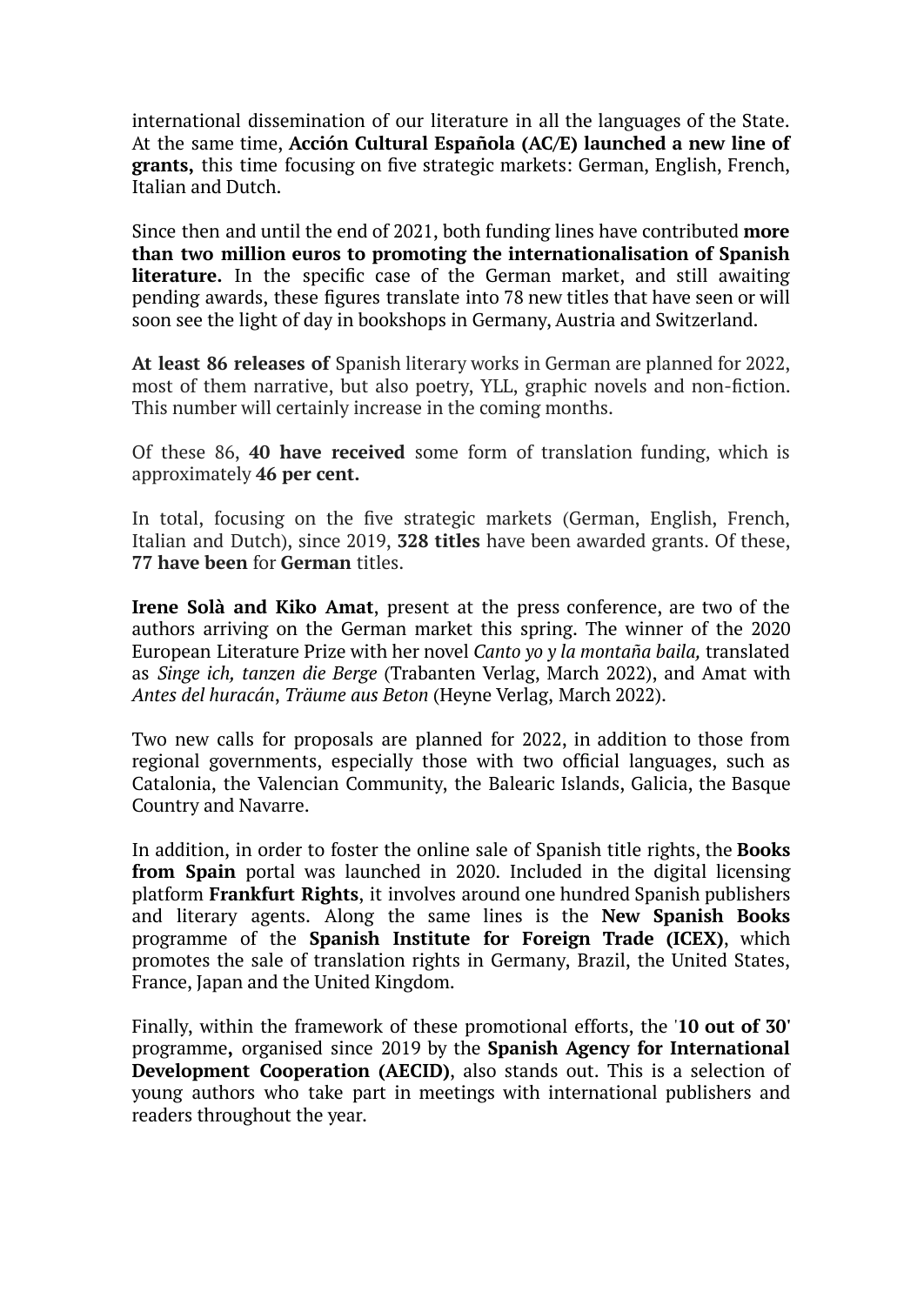international dissemination of our literature in all the languages of the State. At the same time, **Acción Cultural Española (AC/E) launched a new line of grants,** this time focusing on five strategic markets: German, English, French, Italian and Dutch.

Since then and until the end of 2021, both funding lines have contributed **more than two million euros to promoting the internationalisation of Spanish literature.** In the specific case of the German market, and still awaiting pending awards, these figures translate into 78 new titles that have seen or will soon see the light of day in bookshops in Germany, Austria and Switzerland.

**At least 86 releases of** Spanish literary works in German are planned for 2022, most of them narrative, but also poetry, YLL, graphic novels and non-fiction. This number will certainly increase in the coming months.

Of these 86, **40 have received** some form of translation funding, which is approximately **46 per cent.**

In total, focusing on the five strategic markets (German, English, French, Italian and Dutch), since 2019, **328 titles** have been awarded grants. Of these, **77 have been** for **German** titles.

**Irene Solà and Kiko Amat**, present at the press conference, are two of the authors arriving on the German market this spring. The winner of the 2020 European Literature Prize with her novel *Canto yo y la montaña baila,* translated as *Singe ich, tanzen die Berge* (Trabanten Verlag, March 2022), and Amat with *Antes del huracán*, *Träume aus Beton* (Heyne Verlag, March 2022).

Two new calls for proposals are planned for 2022, in addition to those from regional governments, especially those with two official languages, such as Catalonia, the Valencian Community, the Balearic Islands, Galicia, the Basque Country and Navarre.

In addition, in order to foster the online sale of Spanish title rights, the **Books from Spain** portal was launched in 2020. Included in the digital licensing platform **Frankfurt Rights**, it involves around one hundred Spanish publishers and literary agents. Along the same lines is the **New Spanish Books** programme of the **Spanish Institute for Foreign Trade (ICEX)**, which promotes the sale of translation rights in Germany, Brazil, the United States, France, Japan and the United Kingdom.

Finally, within the framework of these promotional efforts, the '**10 out of 30'** programme**,** organised since 2019 by the **Spanish Agency for International Development Cooperation (AECID)**, also stands out. This is a selection of young authors who take part in meetings with international publishers and readers throughout the year.